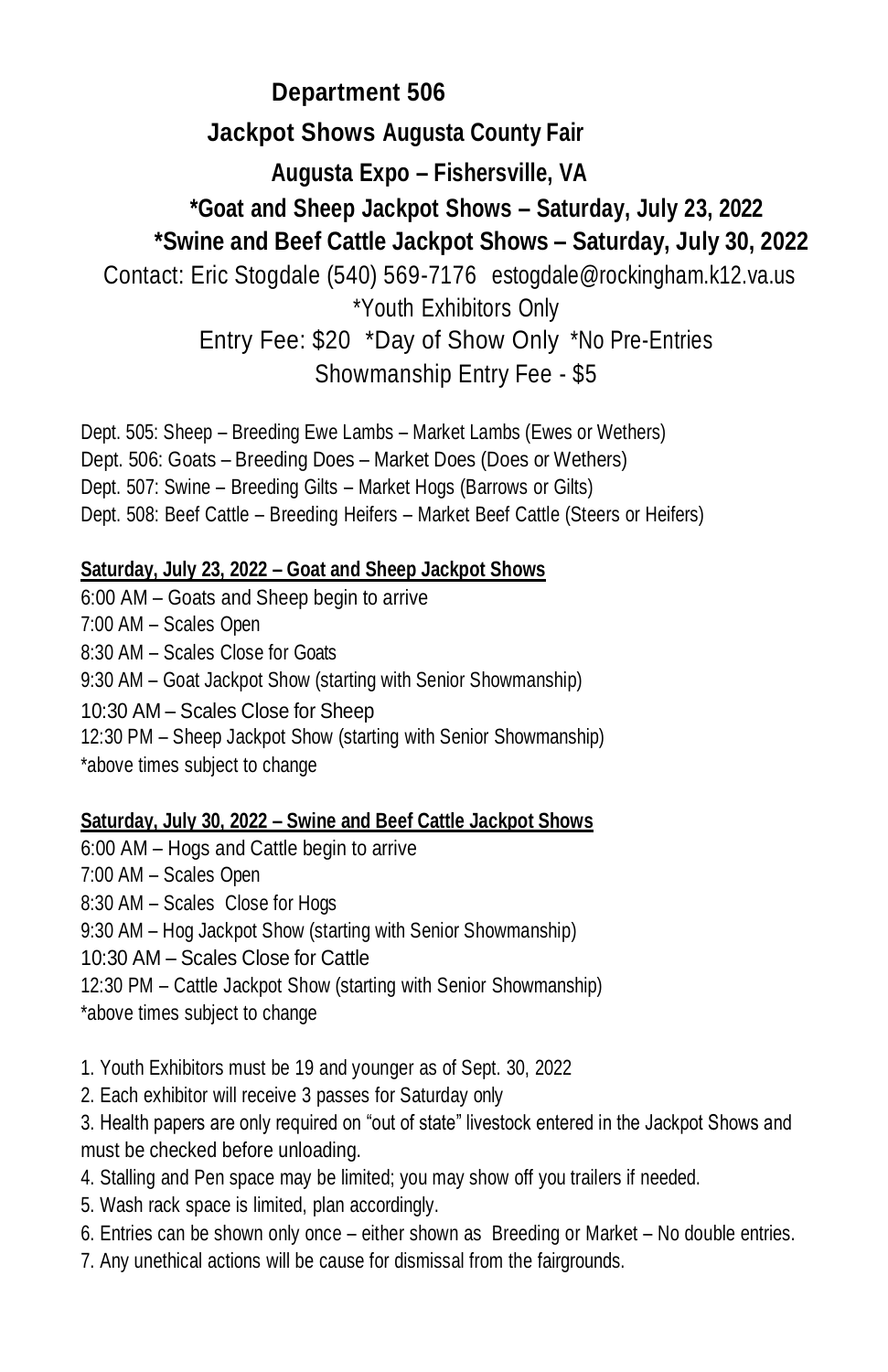## **Department 506 Jackpot Shows Augusta County Fair Augusta Expo – Fishersville, VA \*Goat and Sheep Jackpot Shows – Saturday, July 23, 2022 \*Swine and Beef Cattle Jackpot Shows – Saturday, July 30, 2022** Contact: Eric Stogdale (540) 569-7176 [estogdale@rockingham.k12.va.us](mailto:estogdale@rockingham.k12.va.us) \*Youth Exhibitors Only Entry Fee: \$20 \*Day of Show Only \*No Pre-Entries

Showmanship Entry Fee - \$5

Dept. 505: Sheep – Breeding Ewe Lambs – Market Lambs (Ewes or Wethers) Dept. 506: Goats – Breeding Does – Market Does (Does or Wethers) Dept. 507: Swine – Breeding Gilts – Market Hogs (Barrows or Gilts) Dept. 508: Beef Cattle – Breeding Heifers – Market Beef Cattle (Steers or Heifers)

## **Saturday, July 23, 2022 – Goat and Sheep Jackpot Shows**

6:00 AM – Goats and Sheep begin to arrive 7:00 AM – Scales Open 8:30 AM – Scales Close for Goats 9:30 AM – Goat Jackpot Show (starting with Senior Showmanship) 10:30 AM – Scales Close for Sheep 12:30 PM – Sheep Jackpot Show (starting with Senior Showmanship) \*above times subject to change

## **Saturday, July 30, 2022 – Swine and Beef Cattle Jackpot Shows**

6:00 AM – Hogs and Cattle begin to arrive

7:00 AM – Scales Open

8:30 AM – Scales Close for Hogs

9:30 AM – Hog Jackpot Show (starting with Senior Showmanship)

10:30 AM – Scales Close for Cattle

12:30 PM – Cattle Jackpot Show (starting with Senior Showmanship)

\*above times subject to change

1. Youth Exhibitors must be 19 and younger as of Sept. 30, 2022

2. Each exhibitor will receive 3 passes for Saturday only

3. Health papers are only required on "out of state" livestock entered in the Jackpot Shows and must be checked before unloading.

- 4. Stalling and Pen space may be limited; you may show off you trailers if needed.
- 5. Wash rack space is limited, plan accordingly.
- 6. Entries can be shown only once either shown as Breeding or Market No double entries.
- 7. Any unethical actions will be cause for dismissal from the fairgrounds.